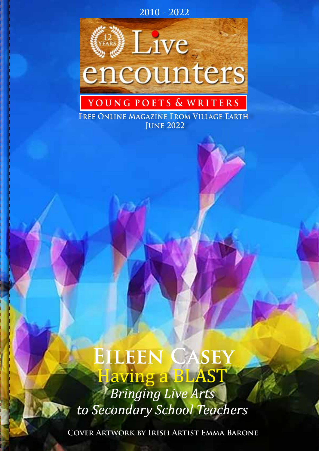



# **y o u n g p o e t s & w r i t e r s**

 **June 2022 Free Online Magazine From Village Earth**

## Having a BLAST  $EILEEN$ CASEY

*Bringing Live Arts to Secondary School Teachers*

**Cover Artwork by Irish Artist Emma Barone**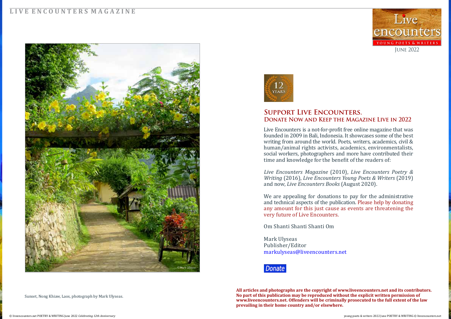#### **L I V E E N C O U N T E R S M A G A Z I N E**

**All articles and photographs are the copyright of www.liveencounters.net and its contributors. No part of this publication may be reproduced without the explicit written permission of www.liveencounters.net. Offenders will be criminally prosecuted to the full extent of the law prevailing in their home country and/or elsewhere.** 



Sunset, Nong Khiaw, Laos, photograph by Mark Ulyseas.



#### **Support Live Encounters. Donate Now and Keep the Magazine Live in 2022**

Live Encounters is a not-for-profit free online magazine that was founded in 2009 in Bali, Indonesia. It showcases some of the best writing from around the world. Poets, writers, academics, civil & human/animal rights activists, academics, environmentalists, social workers, photographers and more have contributed their time and knowledge for the benefit of the readers of:

*Live Encounters Magazine* (2010), *Live Encounters Poetry & Writing* (2016), *Live Encounters Young Poets & Writers* (2019) and now, *Live Encounters Books* (August 2020).

We are appealing for donations to pay for the administrative and technical aspects of the publication. Please help by donating any amount for this just cause as events are threatening the very future of Live Encounters.

Om Shanti Shanti Shanti Om

Mark Ulyseas Publisher/Editor markulyseas@liveencounters.net



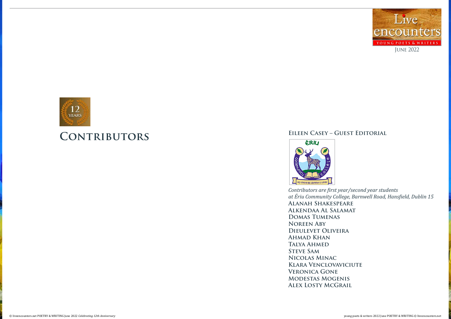#### **Eileen Casey – Guest Editorial**



*Contributors are first year/second year students at Ériu Community College, Barnwell Road, Hansfield, Dublin 15*

**Alanah Shakespeare Alkendaa Al Salamat Domas Tumenas Noreen Aby Dieulevet Oliveira Ahmad Khan Talya Ahmed STEVE SAM Nicolas Minac Klara Venclovaviciute Veronica Gone Modestas Mogenis Alex Losty McGrail**



# **Contributors**

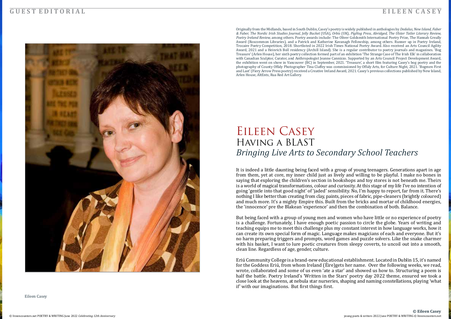# *Bringing Live Arts to Secondary School Teachers* EILEEN CASEY Having a BLAST

#### **G U E S T E D I T O R I A L**



It is indeed a little daunting being faced with a group of young teenagers. Generations apart in age from them, yet at core, my inner child just as lively and willing to be playful. I make no bones in saying that exploring the children's section in bookshops and toy stores is not beneath me. Theirs is a world of magical transformations, colour and curiosity. At this stage of my life I've no intention of going 'gentle into that good night' of 'jaded' sensibility. No, I'm happy to report, far from it. There's nothing I like better than creating from clay, paints, pieces of fabric, pipe-cleaners (brightly coloured) and much more. It's a mighty Empire this. Built from the bricks and mortar of childhood energies, the 'innocence' pre the Blakean 'experience' and then the combination of both. Balance.

But being faced with a group of young men and women who have little or no experience of poetry is a challenge. Fortunately, I have enough poetic passion to circle the globe. Years of writing and teaching equips me to meet this challenge plus my constant interest in how language works, how it can create its own special form of magic. Language makes magicians of each and everyone. But it's no harm preparing triggers and prompts, word games and puzzle solvers. Like the snake charmer with his basket, I want to lure poetic creatures from sleepy coverts, to uncoil out into a smooth, clean line. Regardless of age, gender, culture.

Eriú Community College is a brand-new educational establishment. Located in Dublin 15, it's named for the Goddess Eriú, from whom Ireland (Éire)gets her name. Over the following weeks, we read, wrote, collaborated and some of us even 'ate a star' and showed us how to. Structuring a poem is half the battle. Poetry Ireland's 'Written in the Stars' poetry day 2022 theme, ensured we took a close look at the heavens, at nebula star nurseries, shaping and naming constellations, playing 'what if' with our imaginations. But first things first.

Eileen Casey

Originally from the Midlands, based in South Dublin, Casey's poetry is widely published in anthologies by *Dedalus, New Island, Faber & Faber, The Nordic Irish Studies Journal, Jelly Bucket* (USA), *Orbis* (UK), *PigHog Press, Abridged, The Ulster Tatler Literary Review, Poetry Ireland Review,* among others. Poetry awards include: The Oliver Goldsmith International Poetry Prize, The Hannah Greally Award (Roscommon Libraries), and a Patrick and Katherine Kavanagh Fellowship, among others. Runner up in Poetry Ireland, Trocaire Poetry Competition, 2018. Shortlisted in 2022 Irish Times National Poetry Award. Also received an Arts Council Agility Award, 2021 and a Heinrich Boll residency (Archill Island). She is a regular contributor to poetry journals and magazines. 'Bog Treasure' (Arlen House), her sixth poetry collection formed part of an exhibition 'The Strange Case of The Irish Elk' in collaboration with Canadian Sculptor, Curator, and Anthropologist Jeanne Cannizzo. Supported by an Arts Council Project Development Award, the exhibition went on show in Vancouver (BC) in September, 2021. 'Treasure', a short film featuring Casey's bog poetry and the photography of County Offaly Photographer Tina Claffey was commissioned by Offaly Arts, for Culture Night, 2021. 'Bogmen First and Last' (Fiery Arrow Press poetry) received a Creative Ireland Award, 2021. Casey's previous collections published by New Island, Arlen House, AltEnts, Rua Red Art Gallery.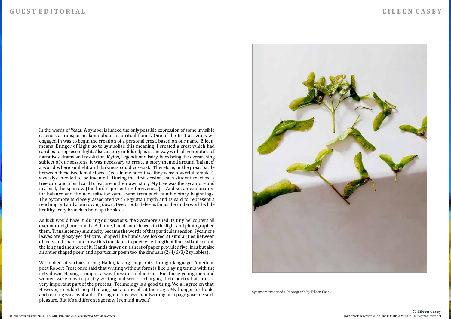#### **G U E S T E D I T O R I A L E I L E E N C A S E Y**

**© Eileen Casey**

In the words of Yeats; 'A symbol is indeed the only possible expression of some invisible essence, a transparent lamp about a spiritual flame". One of the first activities we engaged in was to begin the creation of a personal crest, based on our name. Eileen, means 'Bringer of Light' so to symbolise this meaning, I created a crest which had candles to represent light. Also, a story unfolded; as is the way with all generators of narratives, drama and resolution. Myths, Legends and Fairy Tales being the overarching subject of our sessions, it was necessary to create a story themed around 'balance', a world where sunlight and darkness could co-exist. Therefore, in the great battle between these two female forces (yes, in my narrative, they were powerful females), a catalyst needed to be invented. During the first session, each student received a tree card and a bird card to feature in their own story. My tree was the Sycamore and my bird, the sparrow (the bird representing forgiveness). And so, an explanation for balance and the necessity for same came from such humble story beginnings. The Sycamore is closely associated with Egyptian myth and is said to represent a reaching out and a burrowing down. Deep roots delve as far as the underworld while healthy, leafy branches hold up the skies.

As luck would have it, during our sessions, the Sycamore shed its tiny helicopters all over our neighbourhoods. At home, I held some leaves to the light and photographed them. Translucence/luminosity became the words of that particular session. Sycamore leaves are glossy yet delicate. Shaped like hands, we looked at similarities between objects and shape and how this translates to poetry i.e. length of line, syllabic count, the long and the short of it. Hands drawn on a sheet of paper provided five lines but also an antler shaped poem and a particular poem too, the cinquain (2/4/6/8/2 syllables).

We looked at various forms; Haiku, taking snapshots through language. American poet Robert Frost once said that writing without form is like playing tennis with the nets down. Having a map is a way forward, a blueprint. But these young men and women were new to poetry writing and were recharging their poetry batteries, a very important part of the process. Technology is a good thing. We all agree on that. However, I couldn't help thinking back to myself at their age. My hunger for books and reading was insatiable. The sight of my own handwriting on a page gave me such pleasure. But it's a different age now I remind myself.



Sycamore tree seeds. Photograph by Eileen Casey.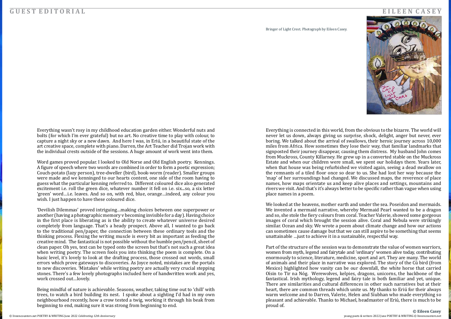[© liveencounters.net](https://liveencounters.net/) POETRY & WRITING June 2022 *Celebrating 12th Anniversary* young poets & writers 2022 June POETRY & WRITING © [liveencounters.net](https://liveencounters.net/)

Everything wasn't rosy in my childhood education garden either. Wonderful nuts and bolts (for which I'm ever grateful) but no art. No creative time to play with colour, to capture a night sky or a new dawn. And here I was, in Eriú, in a beautiful state of the art creative space, complete with piano. Darren, the Art Teacher did Trojan work with the individual crests outside of the sessions. A huge amount of work went into them.

Word games proved popular. I looked to Old Norse and Old English poetry. Kennings. A figure of speech where two words are combined in order to form a poetic expression; Couch-potato (lazy person), tree-dweller (bird), book-worm (reader). Smaller groups were made and we kenninged to our hearts content, one side of the room having to guess what the particular kenning referred to. Different coloured dice also generated excitement i.e. roll the green dice, whatever number it fell on i.e. six...so, a six letter 'green' word…i.e. leaves. And so on, with red, blue, orange…indeed, any colour you wish. I just happen to have these coloured dice.

'Devilish Dilemmas' proved intriguing…making choices between one superpower or another (having a photographic memory v becoming invisible for a day). Having choice in the first place is liberating as is the ability to create whatever universe desired completely from language. That's a heady prospect. Above all, I wanted to go back to the traditional pen/paper, the connection between these ordinary tools and the thinking process. Flexing the writing muscle is every bit as important as feeding the creative mind. The fantastical is not possible without the humble pen/pencil, sheet of clean paper. Oh yes, text can be typed onto the screen but that's not such a great idea when writing poetry. The screen fools you into thinking the poem is complete. On a basic level, it's lovely to look at the drafting process, those crossed out words, small errors which prove gateways to discoveries. As Joyce noted, mistakes are the portals to new discoveries. 'Mistakes' while writing poetry are actually very crucial stepping stones. There's a few lovely photographs included here of handwritten work and yes, work crossed out…lovely.

Being mindful of nature is achievable. Seasons, weather, taking time out to 'chill' with trees, to watch a bird building its nest. I spoke about a sighting I'd had in my own neighbourhood recently, how a crow tested a twig, working it through his beak from beginning to end, making sure it was strong from beginning to end.

#### **G U E S T E D I T O R I A L E I L E E N C A S E Y**

**© Eileen Casey**

Everything is connected in this world, from the obvious to the bizarre. The world will never let us down, always giving us surprise, shock, delight, anger but never, ever boring. We talked about the arrival of swallows, their heroic journey across 10,000 miles from Africa. How sometimes they lose their way, that familiar landmarks that signposted their journey disappear, causing them distress. My husband John comes from Muckross, County Killarney. He grew up in a converted stable on the Muckross Estate and when our children were small, we spent our holidays there. Years later, when that house was being refurbished we visited again, seeing a dead swallow on the remnants of a tiled floor once so dear to us. She had lost her way because the 'map' of her surroundings had changed. We discussed maps, the reverence of place names, how maps orientate us and keep alive places and settings, mountains and rivers we visit. And that's it's always better to be specific rather than vague when using place names in a poem.

We looked at the heavens, mother earth and under the sea. Poseidon and mermaids. We invented a mermaid narrative, whereby Mermaid Pearl wanted to be a dragon and so, she stole the fiery colours from coral. Teacher Valerie, showed some gorgeous images of coral which brought the session alive. Coral and Nebula were strikingly similar. Ocean and sky. We wrote a poem about climate change and how our actions can sometimes cause damage but that we can still aspire to be something that seems unattainable …just to achieve it in a sustainable, respectful way.

Part of the structure of the session was to demonstrate the value of women warriors, women from myth, legend and fairytale and 'ordinary' women alive today, contributing enormously to science, literature, medicine, sport and art. They are many. The world of animals and their place in narrative was explored. The story of the Cú bird (from Mexico) highlighted how vanity can be our downfall, the white horse that carried Oísin to Tir na Nóg. Werewolves, kelpies, dragons, unicorns, the backbone of the fantastical. Irish mythology, legend and fairy tale is both familiar and yet, unique. There are similarities and cultural differences in other such narratives but at their heart, there are common threads which unite us. My thanks to Eriú for their always warm welcome and to Darren, Valerie, Helen and Siubhan who made everything so pleasant and achievable. Thanks to Michael, headmaster of Eriú, there is much to be proud of.





Bringer of Light Crest. Photograph by Eileen Casey.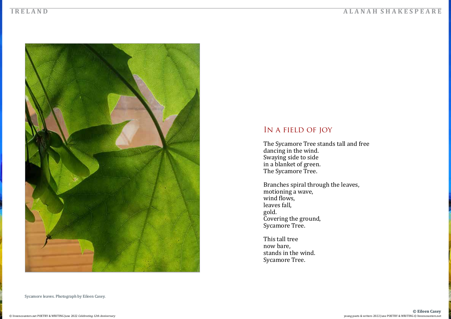The Sycamore Tree stands tall and free dancing in the wind. Swaying side to side in a blanket of green. The Sycamore Tree.

Sycamore leaves. Photograph by Eileen Casey.





## In a field of joy

Branches spiral through the leaves, motioning a wave, wind flows, leaves fall, gold. Covering the ground, Sycamore Tree.

This tall tree now bare, stands in the wind. Sycamore Tree.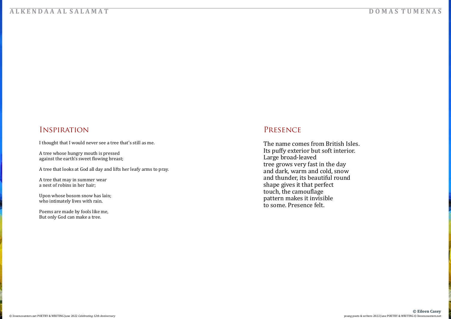## Inspiration

I thought that I would never see a tree that's still as me.

Upon whose bosom snow has lain; who intimately lives with rain.

A tree whose hungry mouth is pressed against the earth's sweet flowing breast;

A tree that looks at God all day and lifts her leafy arms to pray.

A tree that may in summer wear a nest of robins in her hair;

Poems are made by fools like me, But only God can make a tree.

## **A L K E N D A A A L S A L A M A T D O M A S T U M E N A S**

## Presence

The name comes from British Isles. Its puffy exterior but soft interior. Large broad-leaved tree grows very fast in the day and dark, warm and cold, snow and thunder, its beautiful round shape gives it that perfect touch, the camouflage pattern makes it invisible to some. Presence felt.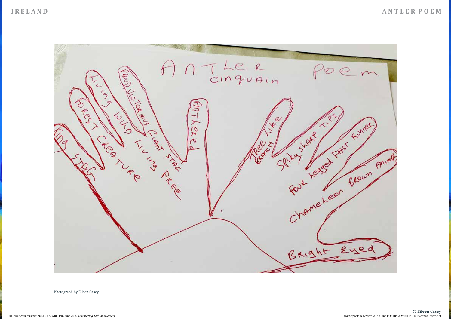### **I R E L A N D A N T L E R P O E M**



Photograph by Eileen Casey.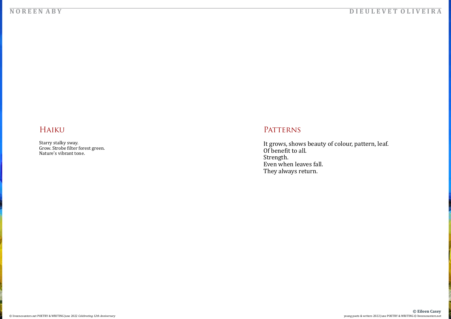### **N O R E E N A B Y D I E U L E V E T O L I V E I R A**

## Haiku

#### [© liveencounters.net](https://liveencounters.net/) POETRY & WRITING June 2022 *Celebrating 12th Anniversary* young poets & writers 2022 June POETRY & WRITING © [liveencounters.net](https://liveencounters.net/) **© Eileen Casey**

Starry stalky sway. Grow. Strobe filter forest green. Nature's vibrant tone.

## PATTERNS

It grows, shows beauty of colour, pattern, leaf. Of benefit to all. Strength. Even when leaves fall. They always return.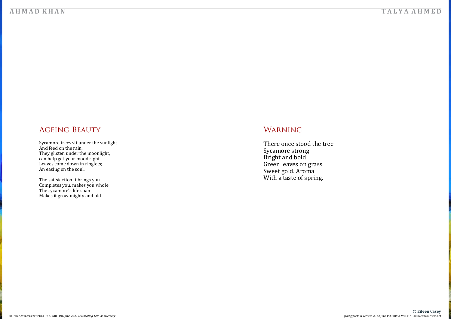### **A H M A D K H A N T A L Y A A H M E D**

Sycamore trees sit under the sunlight<br>And feed on the rain. And feed on the rain. They glisten under the moonlight, can help get your mood right. Leaves come down in ringlets; An easing on the soul.

## Ageing Beauty

The satisfaction it brings you Completes you, makes you whole The sycamore's life span Makes it grow mighty and old

## WARNING

There once stood the tree Sycamore strong Bright and bold Green leaves on grass Sweet gold. Aroma With a taste of spring.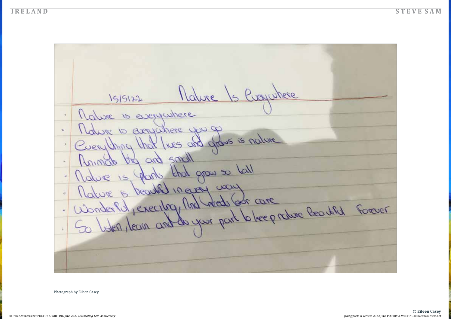

#### **I R E L A N D S T E V E S A M**

1515122 Malure 1s Evaywhere Malure is everywhere Mature 10 exemplatiere que op  $\mathbf{u}_t$ Cuerything that lives and grows is nature Animals by and small  $\mathbf{t}_i$ Malure is plants that grow so tall Mature is beautiful in early way<br>Wonderful , executing, And reads for care<br>So listers, deans and do your part to keep rature Beautiful Forever  $\epsilon$  $\omega$ 

#### **© Eileen Casey**

Photograph by Eileen Casey.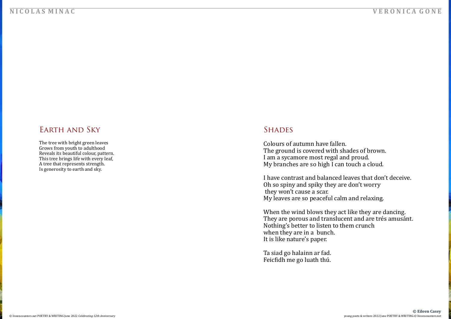## **N I C O L A S M I N A C V E R O N I C A G O N E**

## Earth and Sky

Colours of autumn have fallen. The ground is covered with shades of brown. I am a sycamore most regal and proud. My branches are so high I can touch a cloud.

The tree with bright green leaves Grows from youth to adulthood Reveals its beautiful colour, pattern. This tree brings life with every leaf, A tree that represents strength. Is generosity to earth and sky.

## **SHADES**

I have contrast and balanced leaves that don't deceive. Oh so spiny and spiky they are don't worry they won't cause a scar. My leaves are so peaceful calm and relaxing.

When the wind blows they act like they are dancing. They are porous and translucent and are trés amusánt. Nothing's better to listen to them crunch when they are in a bunch. It is like nature's paper.

Ta siad go halainn ar fad. Feicfidh me go luath thú.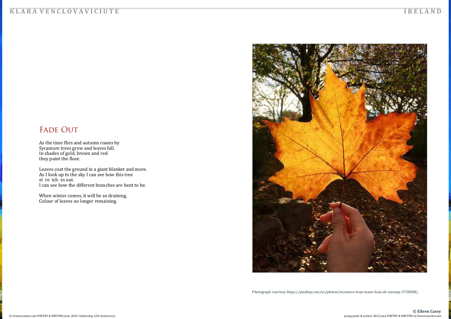

As the time flies and autumn roams by Sycamore trees grow and leaves fall. In shades of gold, brown and red they paint the floor.

### **K L A R A V E N C L O V A V I C I U T E I R E L A N D**

## FADE OUT

When winter comes, it will be so draining, Colour of leaves no longer remaining.



Leaves coat the ground in a giant blanket and more. As I look up to the sky I can see how this tree st re tch es out. I can see how the different branches are bent to be.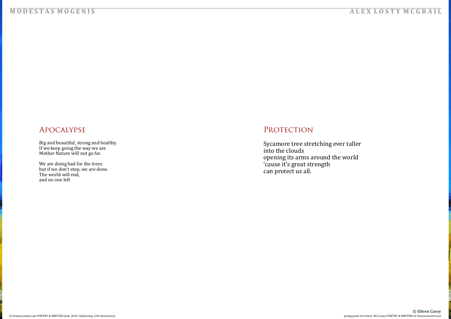### **M O D E S T A S M O G E N I S**

## Apocalypse

We are doing bad for the trees but if we don't stop, we are done.<br>— The world will end, and no one left

## PROTECTION

Big and beautiful, strong and healthy. If we keep going the way we are Mother Nature will not go far.



Sycamore tree stretching ever taller into the clouds opening its arms around the world 'cause it's great strength can protect us all.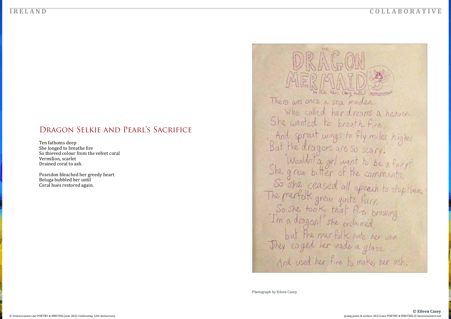## Dragon Selkie and Pearl's Sacrifice

Ten fathoms deep She longed to breathe fire So thieved colour from the velvet coral Vermilion, scarlet Drained coral to ash.

Poseidon bleached her greedy heart Beluga bubbled her until Coral hues restored again.



Photograph by Eileen Casey.

#### **C O L L A B O R A T I V E**

Abri (Rary Holls) **Charles Avenue** who called her dreams a heaven. And sprout wings to fly miles higher So she ceased all speech to stop them.<br>The merfolk grew quite fury,<br>So she took that fire brewing<br>I'm a dragon! she excloimed, but the merfolk hate her vain And used her fire to make her ash.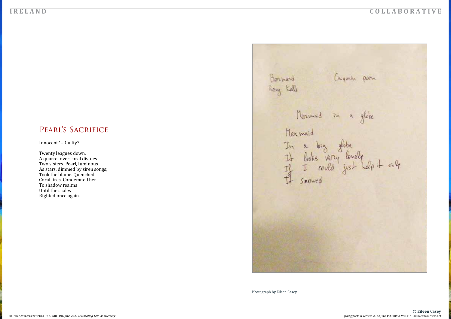## PEARL'S SACRIFICE

Innocent? – Guilty?

Twenty leagues down, A quarrel over coral divides Two sisters. Pearl, luminous As stars, dimmed by siren songs; Took the blame. Quenched Coral fires. Condemned her To shadow realms Until the scales Righted once again.

Bernerd Rang Kells Mermaid in a globe Mermaid

Photograph by Eileen Casey.

#### **C O L L A B O R A T I V E**

Conquain poem In a big globe<br>It looks very lonely<br>It I could just help it only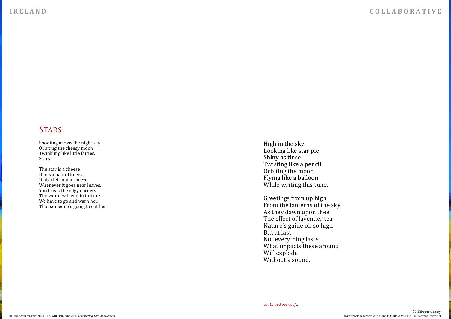## **STARS**

Shooting across the night sky Orbiting the cheesy moon Twinkling like little fairies. Stars.

High in the sky Looking like star pie Shiny as tinsel Twisting like a pencil Orbiting the moon Flying like a balloon While writing this tune.

The star is a cheese It has a pair of knees. It also lets out a sneeze Whenever it goes near leaves. You break the edgy corners The world will end in torture. We have to go and warn her. That someone's going to eat her.

#### **C O L L A B O R A T I V E**

**© Eileen Casey**

Greetings from up high From the lanterns of the sky As they dawn upon thee. The effect of lavender tea Nature's guide oh so high But at last Not everything lasts What impacts these around Will explode Without a sound.

*continued overleaf...*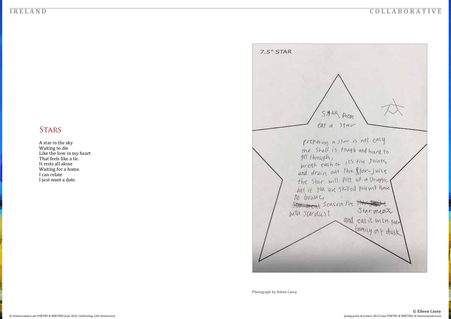## **STARS**

A star in the sky Waiting to die Like the love in my heart That feels like a lie. It rests all alone Waiting for a home. I can relate I just want a date.



Photograph by Eileen Casey.

### **C O L L A B O R A T I V E**

preparing a star is not easy<br>the shell is tough and hard to<br>get through,<br>break each of its fix Joints<br>and drain out the ffar-juice the star will pat up a struggle the star will part up a strugglie<br>but if you are skilled you will have<br>no trouble,<br><del>Star meal</del> season the star meal<br>with stardust and eat it with part